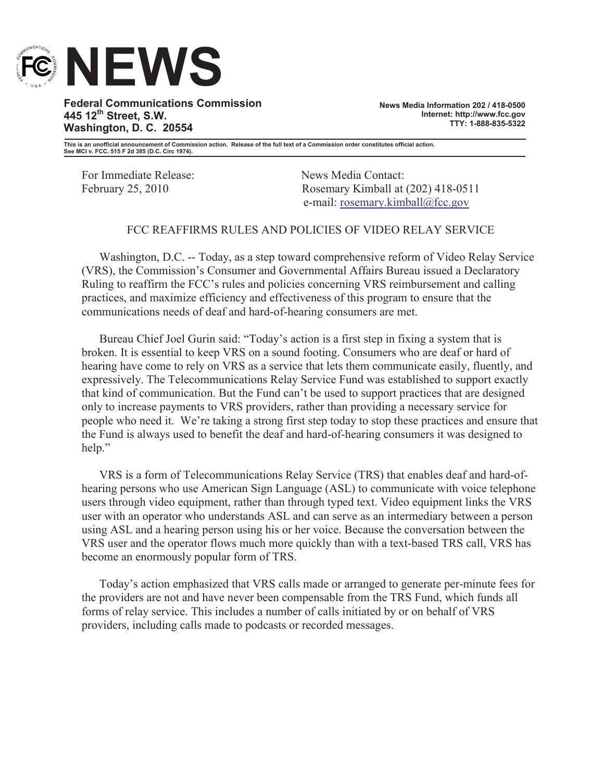

**Federal Communications Commission 445 12th Street, S.W. Washington, D. C. 20554**

**News Media Information 202 / 418-0500 Internet: http://www.fcc.gov TTY: 1-888-835-5322**

**This is an unofficial announcement of Commission action. Release of the full text of a Commission order constitutes official action. See MCI v. FCC. 515 F 2d 385 (D.C. Circ 1974).**

For Immediate Release: News Media Contact:

February 25, 2010 Rosemary Kimball at (202) 418-0511 e-mail: rosemary.kimball@fcc.gov

## FCC REAFFIRMS RULES AND POLICIES OF VIDEO RELAY SERVICE

Washington, D.C. -- Today, as a step toward comprehensive reform of Video Relay Service (VRS), the Commission's Consumer and Governmental Affairs Bureau issued a Declaratory Ruling to reaffirm the FCC's rules and policies concerning VRS reimbursement and calling practices, and maximize efficiency and effectiveness of this program to ensure that the communications needs of deaf and hard-of-hearing consumers are met.

Bureau Chief Joel Gurin said: "Today's action is a first step in fixing a system that is broken. It is essential to keep VRS on a sound footing. Consumers who are deaf or hard of hearing have come to rely on VRS as a service that lets them communicate easily, fluently, and expressively. The Telecommunications Relay Service Fund was established to support exactly that kind of communication. But the Fund can't be used to support practices that are designed only to increase payments to VRS providers, rather than providing a necessary service for people who need it. We're taking a strong first step today to stop these practices and ensure that the Fund is always used to benefit the deaf and hard-of-hearing consumers it was designed to help."

VRS is a form of Telecommunications Relay Service (TRS) that enables deaf and hard-ofhearing persons who use American Sign Language (ASL) to communicate with voice telephone users through video equipment, rather than through typed text. Video equipment links the VRS user with an operator who understands ASL and can serve as an intermediary between a person using ASL and a hearing person using his or her voice. Because the conversation between the VRS user and the operator flows much more quickly than with a text-based TRS call, VRS has become an enormously popular form of TRS.

Today's action emphasized that VRS calls made or arranged to generate per-minute fees for the providers are not and have never been compensable from the TRS Fund, which funds all forms of relay service. This includes a number of calls initiated by or on behalf of VRS providers, including calls made to podcasts or recorded messages.